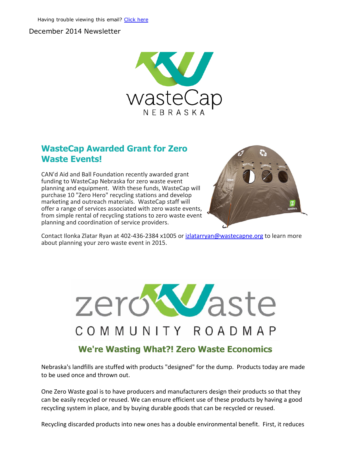#### December 2014 Newsletter



#### WasteCap Awarded Grant for Zero Waste Events!

CAN'd Aid and Ball Foundation recently awarded grant funding to WasteCap Nebraska for zero waste event planning and equipment. With these funds, WasteCap will purchase 10 "Zero Hero" recycling stations and develop marketing and outreach materials. WasteCap staff will offer a range of services associated with zero waste events, from simple rental of recycling stations to zero waste event planning and coordination of service providers.



Contact Ilonka Zlatar Ryan at 402-436-2384 x1005 or [izlatarryan@wastecapne.org](mailto:izlatarryan@wastecapne.org) to learn more about planning your zero waste event in 2015.

# Waste zerd COMMUNITY ROADMAP We're Wasting What?! Zero Waste Economics

Nebraska's landfills are stuffed with products "designed" for the dump. Products today are made to be used once and thrown out.

One Zero Waste goal is to have producers and manufacturers design their products so that they can be easily recycled or reused. We can ensure efficient use of these products by having a good recycling system in place, and by buying durable goods that can be recycled or reused.

Recycling discarded products into new ones has a double environmental benefit. First, it reduces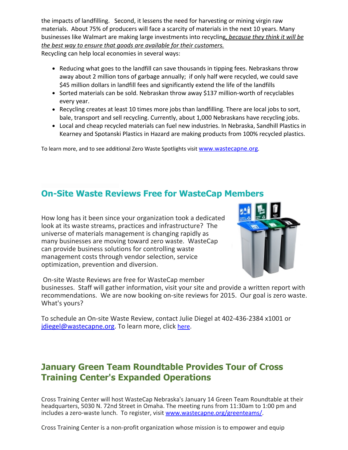the impacts of landfilling. Second, it lessens the need for harvesting or mining virgin raw materials. About 75% of producers will face a scarcity of materials in the next 10 years. Many businesses like Walmart are making large investments into recycling*, because they think it will be the best way to ensure that goods are available for their customers.*

Recycling can help local economies in several ways:

- Reducing what goes to the landfill can save thousands in tipping fees. Nebraskans throw away about 2 million tons of garbage annually; if only half were recycled, we could save \$45 million dollars in landfill fees and significantly extend the life of the landfills
- Sorted materials can be sold. Nebraskan throw away \$137 million-worth of recyclables every year.
- Recycling creates at least 10 times more jobs than landfilling. There are local jobs to sort, bale, transport and sell recycling. Currently, about 1,000 Nebraskans have recycling jobs.
- Local and cheap recycled materials can fuel new industries. In Nebraska, Sandhill Plastics in Kearney and Spotanski Plastics in Hazard are making products from 100% recycled plastics.

To learn more, and to see additional Zero Waste Spotlights visit [www.wastecapne.org](http://r20.rs6.net/tn.jsp?e=001B1XyVA-g8i4J4bbLAuz6rHkzZdQihwXK9Ylhg_hreQQ2c9oYyXhf-umzwS2HSqdO1gcEB4drmnGSBKKJbpffvf3nKZLqhY_fub6bW9Qa5Yk=).

#### **On-Site Waste Reviews Free for WasteCap Members**

How long has it been since your organization took a dedicated look at its waste streams, practices and infrastructure? The universe of materials management is changing rapidly as many businesses are moving toward zero waste. WasteCap can provide business solutions for controlling waste management costs through vendor selection, service optimization, prevention and diversion.



On‐site Waste Reviews are free for WasteCap member

businesses. Staff will gather information, visit your site and provide a written report with recommendations. We are now booking on‐site reviews for 2015. Our goal is zero waste. What's yours?

To schedule an On‐site Waste Review, contact Julie Diegel at 402‐436‐2384 x1001 or [jdiegel@wastecapne.org.](mailto:jdiegel@wastecapne.org) To learn more, click [here](http://r20.rs6.net/tn.jsp?e=001B1XyVA-g8i4J4bbLAuz6rHkzZdQihwXK9Ylhg_hreQQ2c9oYyXhf-umzwS2HSqdO1gcEB4drmnGSBKKJbpffvf3nKZLqhY_fhQ6lCmVXLjKFreh_VWaqBBD8fyxjBrTkJwn4Ea5ICUaPNfnm7J4u5hYbROwMcxmziacgwh5mRdw=).

## January Green Team Roundtable Provides Tour of Cross Training Center's Expanded Operations

Cross Training Center will host WasteCap Nebraska's January 14 Green Team Roundtable at their headquarters, 5030 N. 72nd Street in Omaha. The meeting runs from 11:30am to 1:00 pm and includes a zero-waste lunch. To register, visit [www.wastecapne.org/greenteams/](http://r20.rs6.net/tn.jsp?e=001B1XyVA-g8i4J4bbLAuz6rHkzZdQihwXK9Ylhg_hreQQ2c9oYyXhf-umzwS2HSqdO1gcEB4drmnGSBKKJbpffvf3nKZLqhY_f1QqWJwMEimDHwN9GLwBsMpJ0Rik54WBY).

Cross Training Center is a non‐profit organization whose mission is to empower and equip